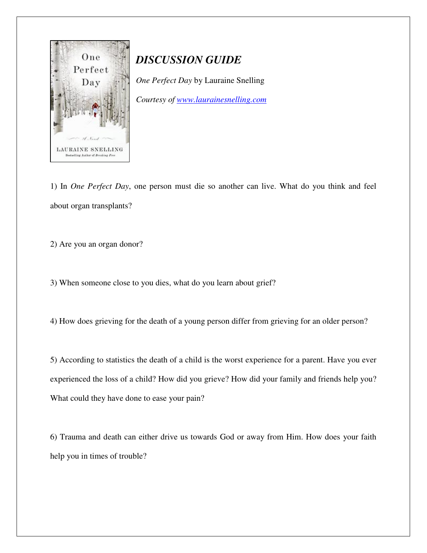

## *DISCUSSION GUIDE*

*One Perfect Day* by Lauraine Snelling

*Courtesy of www.laurainesnelling.com* 

1) In *One Perfect Day*, one person must die so another can live. What do you think and feel about organ transplants?

2) Are you an organ donor?

3) When someone close to you dies, what do you learn about grief?

4) How does grieving for the death of a young person differ from grieving for an older person?

5) According to statistics the death of a child is the worst experience for a parent. Have you ever experienced the loss of a child? How did you grieve? How did your family and friends help you? What could they have done to ease your pain?

6) Trauma and death can either drive us towards God or away from Him. How does your faith help you in times of trouble?